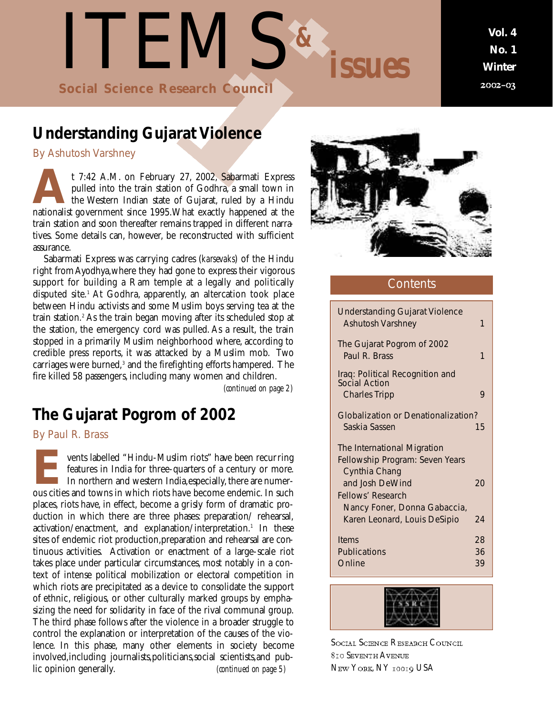

**Vol. 4 No. 1**

## **Understanding Gujarat Violence**

By Ashutosh Varshney

t 7:42 A.M. on February 27, 2002, Sabarmati Express pulled into the train station of Godhra, a small town in the Western Indian state of Gujarat, ruled by a Hindu t 7:42 A.M. on February 27, 2002, Sabarmati Express<br>pulled into the train station of Godhra, a small town in<br>the Western Indian state of Gujarat, ruled by a Hindu<br>nationalist government since 1995.What exactly happened at train station and soon thereafter remains trapped in different narratives. Some details can, however, be reconstructed with sufficient assurance.

Sabarmati Express was carrying cadres (*karsevaks*) of the Hindu right from Ayodhya,where they had gone to express their vigorous support for building a Ram temple at a legally and politically disputed site.<sup>1</sup> At Godhra, apparently, an altercation took place between Hindu activists and some Muslim boys serving tea at the train station.<sup>2</sup> As the train began moving after its scheduled stop at the station, the emergency cord was pulled. As a result, the train stopped in a primarily Muslim neighborhood where, according to credible press reports, it was attacked by a Muslim mob. Two carriages were burned,<sup>3</sup> and the firefighting efforts hampered. The fire killed 58 passengers, including many women and children.

*(continued on page 2)*

# **The Gujarat Pogrom of 2002**

By Paul R. Brass

vents labelled "Hindu-Muslim riots" have been recurring features in India for three-quarters of a century or more. In northern and western India, especially, there are numer-**Example 19 Yents labelled "Hindu-Muslim riots" have been recurring features in India for three-quarters of a century or more.<br>In northern and western India, especially, there are numerous cities and towns in which riots h** places, riots have, in effect, become a grisly form of dramatic production in which there are three phases: preparation/ rehearsal, activation/enactment, and explanation/interpretation.<sup>1</sup> In these sites of endemic riot production,preparation and rehearsal are continuous activities. Activation or enactment of a large-scale riot takes place under particular circumstances, most notably in a context of intense political mobilization or electoral competition in which riots are precipitated as a device to consolidate the support of ethnic, religious, or other culturally marked groups by emphasizing the need for solidarity in face of the rival communal group. The third phase follows after the violence in a broader struggle to control the explanation or interpretation of the causes of the violence. In this phase, many other elements in society become involved,including journalists,politicians,social scientists,and public opinion generally. *(continued on page 5)*



### **Contents**

| Understanding Gujarat Violence<br><b>Ashutosh Varshney</b>               | 1  |
|--------------------------------------------------------------------------|----|
| The Gujarat Pogrom of 2002<br>Paul R. Brass                              | 1  |
| Iraq: Political Recognition and<br>Social Action<br><b>Charles Tripp</b> | Q  |
| Globalization or Denationalization?<br>Saskia Sassen                     | 15 |
| The International Migration                                              |    |
| Fellowship Program: Seven Years<br>Cynthia Chang                         |    |
| and Josh DeWind                                                          | 20 |
| Fellows' Research                                                        |    |
| Nancy Foner, Donna Gabaccia,                                             |    |
| Karen Leonard, Louis DeSipio                                             | 24 |
| Items                                                                    | 28 |
| Publications                                                             | 36 |
| Online                                                                   | 39 |



SOCIAL SCIENCE RESEARCH COUNCIL **810 SEVENTH AVENUE** NEW YORK, NY 10019 USA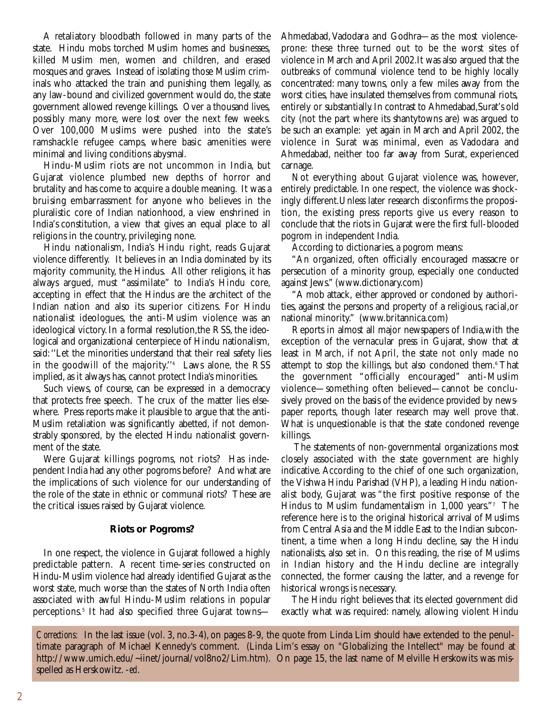A retaliatory bloodbath followed in many parts of the state. Hindu mobs torched Muslim homes and businesses, killed Muslim men, women and children, and erased mosques and graves. Instead of isolating those Muslim criminals who attacked the train and punishing them legally, as any law-bound and civilized government would do, the state government allowed revenge killings. Over a thousand lives, possibly many more, were lost over the next few weeks. Over 100,000 Muslims were pushed into the state's ramshackle refugee camps, where basic amenities were minimal and living conditions abysmal.

Hindu-Muslim riots are not uncommon in India, but Gujarat violence plumbed new depths of horror and brutality and has come to acquire a double meaning. It was a bruising embarrassment for anyone who believes in the pluralistic core of Indian nationhood, a view enshrined in India's constitution, a view that gives an equal place to all religions in the country, privileging none.

Hindu nationalism, India's Hindu right, reads Gujarat violence differently. It believes in an India dominated by its majority community, the Hindus. All other religions, it has always argued, must "assimilate" to India's Hindu core, accepting in effect that the Hindus are the architect of the Indian nation and also its superior citizens. For Hindu nationalist ideologues, the anti-Muslim violence was an ideological victory.In a formal resolution,the RSS, the ideological and organizational centerpiece of Hindu nationalism, said:''Let the minorities understand that their real safety lies in the goodwill of the majority." $4$  Laws alone, the RSS implied, as it always has, cannot protect India's minorities.

Such views, of course, can be expressed in a democracy that protects free speech. The crux of the matter lies elsewhere. Press reports make it plausible to argue that the anti-Muslim retaliation was significantly abetted, if not demonstrably sponsored, by the elected Hindu nationalist government of the state.

Were Gujarat killings pogroms, not riots? Has independent India had any other pogroms before? And what are the implications of such violence for our understanding of the role of the state in ethnic or communal riots? These are the critical issues raised by Gujarat violence.

#### **Riots or Pogroms?**

In one respect, the violence in Gujarat followed a highly predictable pattern. A recent time-series constructed on Hindu-Muslim violence had already identified Gujarat as the worst state, much worse than the states of North India often associated with awful Hindu-Muslim relations in popular perceptions.<sup>5</sup> It had also specified three Gujarat townsAhmedabad, Vadodara and Godhra—as the most violenceprone: these three turned out to be the worst sites of violence in March and April 2002.It was also argued that the outbreaks of communal violence tend to be highly locally concentrated: many towns, only a few miles away from the worst cities, have insulated themselves from communal riots, entirely or substantially.In contrast to Ahmedabad,Surat's old city (not the part where its shantytowns are) was argued to be such an example: yet again in March and April 2002, the violence in Surat was minimal, even as Vadodara and Ah medabad, neither too far away from Surat, experienced carnage.

Not everything about Gujarat violence was, however, entirely predictable. In one respect, the violence was shockingly different.Unless later research disconfirms the proposition, the existing press reports give us every reason to conclude that the riots in Gujarat were the first full-blooded pogrom in independent India.

According to dictionaries, a pogrom means:

"An organized, often officially encouraged massacre or persecution of a minority group, especially one conducted against Jews." (www.dictionary.com)

"A mob attack, either approved or condoned by authorities, against the persons and property of a religious, racial,or national minority." (www.britannica.com)

Reports in almost all major newspapers of India,with the exception of the vernacular press in Gujarat, show that at least in March, if not April, the state not only made no attempt to stop the killings, but also condoned them.<sup>6</sup> That the government "officially encouraged" anti-Muslim violence—something often believed—cannot be conclusively proved on the basis of the evidence provided by newspaper reports, though later research may well prove that. What is unquestionable is that the state condoned revenge killings.

The statements of non-governmental organizations most closely associated with the state government are highly indicative. According to the chief of one such organization, the Vishwa Hindu Parishad (VHP), a leading Hindu nationalist body, Gujarat was "the first positive response of the Hindus to Muslim fundamentalism in  $1,000$  years."<sup>7</sup> The reference here is to the original historical arrival of Muslims from Central Asia and the Middle East to the Indian subcontinent, a time when a long Hindu decline, say the Hindu nationalists, also set in. On this reading, the rise of Muslims in Indian history and the Hindu decline are integrally connected, the former causing the latter, and a revenge for historical wrongs is necessary.

The Hindu right believes that its elected government did exactly what was required: namely, allowing violent Hindu

*Corrections:* In the last issue (vol. 3, no.3-4), on pages 8-9, the quote from Linda Lim should have extended to the penultimate paragraph of Michael Kennedy's comment. (Linda Lim's essay on "Globalizing the Intellect" may be found at http://www.umich.edu/~iinet/journal/vol8no2/Lim.htm). On page 15, the last name of Melville Herskowits was misspelled as Herskowitz. -*ed*.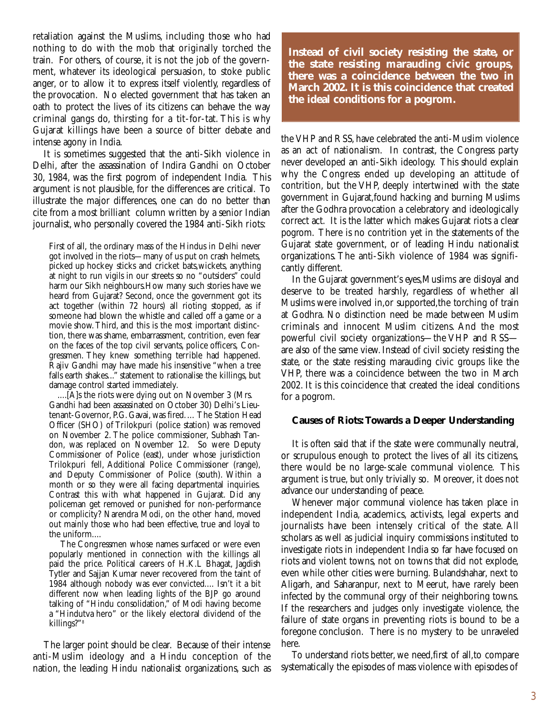retaliation against the Muslims, including those who had nothing to do with the mob that originally torched the train. For others, of course, it is not the job of the government, whatever its ideological persuasion, to stoke public anger, or to allow it to express itself violently, regardless of the provocation. No elected government that has taken an oath to protect the lives of its citizens can behave the way criminal gangs do, thirsting for a tit-for-tat. This is why Gujarat killings have been a source of bitter debate and intense agony in India.

It is sometimes suggested that the anti-Sikh violence in Delhi, after the assassination of Indira Gandhi on October 30, 1984, was the first pogrom of independent India. This argument is not plausible, for the differences are critical. To illustrate the major differences, one can do no better than cite from a most brilliant column written by a senior Indian journalist, who personally covered the 1984 anti-Sikh riots:

First of all, the ordinary mass of the Hindus in Delhi never got involved in the riots—many of us put on crash helmets, picked up hockey sticks and cricket bats,wickets, anything at night to run vigils in our streets so no "outsiders" could harm our Sikh neighbours.How many such stories have we heard from Gujarat? Second, once the government got its act together (within 72 hours) all rioting stopped, as if someone had blown the whistle and called off a game or a movie show.Third, and this is the most important distinction, there was shame, embarrassment, contrition, even fear on the faces of the top civil servants, police officers, Congressmen. They knew something terrible had happened. Rajiv Gandhi may have made his insensitive "when a tree falls earth shakes..." statement to rationalise the killings, but damage control started immediately.

....[A]s the riots were dying out on November 3 (Mrs. Gandhi had been assassinated on October 30) Delhi's Lieutenant-Governor, P.G. Gavai, was fired.…The Station Head Officer (SHO) of Trilokpuri (police station) was removed on November 2. The police commissioner, Subhash Tandon, was replaced on November 12. So were Deputy Commissioner of Police (east), under whose jurisdiction Trilokpuri fell, Additional Police Commissioner (range), and Deputy Commissioner of Police (south). Within a month or so they were all facing departmental inquiries. Contrast this with what happened in Gujarat. Did any policeman get removed or punished for non-performance or complicity? Narendra Modi, on the other hand, moved out mainly those who had been effective, true and loyal to the uniform....

The Congressmen whose names surfaced or were even popularly mentioned in connection with the killings all paid the price. Political careers of H.K.L Bhagat, Jagdish Tytler and Sajjan Kumar never recovered from the taint of 1984 although nobody was ever convicted.... Isn't it a bit different now when leading lights of the BJP go around talking of "Hindu consolidation," of Modi having become a "Hindutva hero" or the likely electoral dividend of the killings?"<sup>8</sup>

The larger point should be clear. Because of their intense anti-Muslim ideology and a Hindu conception of the nation, the leading Hindu nationalist organizations, such as Instead of civil society resisting the state, or the state resisting marauding civic groups, there was a coincidence between the two in **March 2002. It is this coincidence that created the ideal conditions for a pogrom.**

the VHP and RSS, have celebrated the anti-Muslim violence as an act of nationalism. In contrast, the Congress party never developed an anti-Sikh ideology. This should explain why the Congress ended up developing an attitude of contrition, but the VHP, deeply intertwined with the state government in Gujarat,found hacking and burning Muslims after the Godhra provocation a celebratory and ideologically correct act. It is the latter which makes Gujarat riots a clear pogrom. There is no contrition yet in the statements of the Gujarat state government, or of leading Hindu nationalist organizations. The anti-Sikh violence of 1984 was significantly different.

In the Gujarat government's eyes,Muslims are disloyal and deserve to be treated harshly, regardless of whether all Muslims were involved in,or supported,the torching of train at Godhra. No distinction need be made between Muslim criminals and innocent Muslim citizens. And the most p owerful civil society organizations—the VHP and RSS are also of the same view.Instead of civil society resisting the state, or the state resisting marauding civic groups like the VHP, there was a coincidence between the two in March 2002. It is this coincidence that created the ideal conditions for a pogrom.

#### **Causes of Riots:Towards a Deeper Understanding**

It is often said that if the state were communally neutral, or scrupulous enough to protect the lives of all its citizens, there would be no large-scale communal violence. This argument is true, but only trivially so. Moreover, it does not advance our understanding of peace.

Whenever major communal violence has taken place in independent India, academics, activists, legal experts and journalists have been intensely critical of the state. All scholars as well as judicial inquiry commissions instituted to investigate riots in independent India so far have focused on riots and violent towns, not on towns that did not explode, even while other cities were burning. Bulandshahar, next to Aligarh, and Saharanpur, next to Meerut, have rarely been infected by the communal orgy of their neighboring towns. If the researchers and judges only investigate violence, the failure of state organs in preventing riots is bound to be a foregone conclusion. There is no mystery to be unraveled here.

To understand riots better, we need,first of all,to compare systematically the episodes of mass violence with episodes of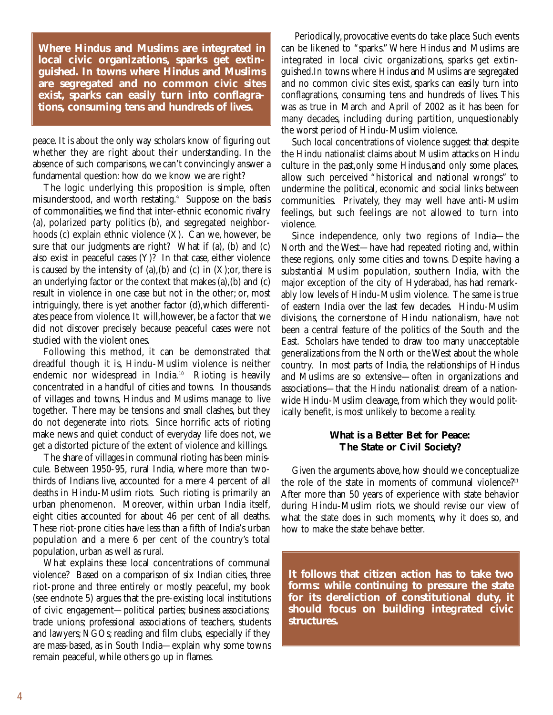**Where Hindus and Muslims are integrated in local civic organizations, sparks get extinguished. In towns where Hindus and Muslims a re segregated and no common civic sites** exist, sparks can easily turn into conflagra**tions, consuming tens and hundreds of lives.**

peace. It is about the only way scholars know of figuring out whether they are right about their understanding. In the absence of such comparisons, we can't convincingly answer a fundamental question: how do we know we are right?

The logic underlying this proposition is simple, often misunderstood, and worth restating.<sup>9</sup> Suppose on the basis of commonalities,we find that inter-ethnic economic rivalry (a), polarized party politics (b), and segregated neighborhoods (c) explain ethnic violence (X). Can we, however, be sure that our judgments are right? What if (a), (b) and (c) also exist in peaceful cases (Y)? In that case, either violence is caused by the intensity of  $(a)$ ,  $(b)$  and  $(c)$  in  $(X)$ ; or, there is an underlying factor or the context that makes (a),(b) and (c) result in violence in one case but not in the other; or, most intriguingly, there is yet another factor (d),which differentiates peace from violence. It will,however, be a factor that we did not discover precisely because peaceful cases were not studied with the violent ones.

Following this method, it can be demonstrated that dreadful though it is, Hindu-Muslim violence is neither endemic nor widespread in India.<sup>10</sup> Rioting is heavily concentrated in a handful of cities and towns. In thousands of villages and towns, Hindus and Muslims manage to live together. There may be tensions and small clashes, but they do not degenerate into riots. Since horrific acts of rioting make news and quiet conduct of everyday life does not, we get a distorted picture of the extent of violence and killings.

The share of villages in communal rioting has been miniscule. Between 1950-95, rural India, where more than twothirds of Indians live, accounted for a mere 4 percent of all deaths in Hindu-Muslim riots. Such rioting is primarily an urban phenomenon. Moreover, within urban India itself, eight cities accounted for about 46 per cent of all deaths. These riot-prone cities have less than a fifth of India's urban population and a mere 6 per cent of the country 's total population, urban as well as rural.

What explains these local concentrations of communal violence? Based on a comparison of six Indian cities, three riot-prone and three entirely or mostly peaceful, my book (see endnote 5) argues that the pre-existing local institutions of civic engagement—political parties; business associations; trade unions; professional associations of teachers, students and lawyers; NGOs; reading and film clubs, especially if they are mass-based, as in South India—explain why some towns remain peaceful, while others go up in flames.

Periodically, provocative events do take place. Such events can be likened to "sparks."Where Hindus and Muslims are integrated in local civic organizations, sparks get extinguished.In towns where Hindus and Muslims are segregated and no common civic sites exist, sparks can easily turn into conflagrations, consuming tens and hundreds of lives. This was as true in March and April of 2002 as it has been for many decades, including during partition, unquestionably the worst period of Hindu-Muslim violence.

Such local concentrations of violence suggest that despite the Hindu nationalist claims about Muslim attacks on Hindu culture in the past,only some Hindus,and only some places, allow such perceived "historical and national wrongs" to undermine the political, economic and social links between communities. Privately, they may well have anti-Muslim feelings, but such feelings are not allowed to turn into violence.

Since independence, only two regions of India—the North and the West—have had repeated rioting and, within these regions, only some cities and towns. Despite having a substantial Muslim population, southern India, with the major exception of the city of Hyderabad, has had remarkably low levels of Hindu-Muslim violence. The same is true of eastern India over the last few decades. Hindu-Muslim divisions, the cornerstone of Hindu nationalism, have not been a central feature of the politics of the South and the East. Scholars have tended to draw too many unacceptable generalizations from the North or the West about the whole country. In most parts of India, the relationships of Hindus and Muslims are so extensive—often in organizations and associations—that the Hindu nationalist dream of a nationwide Hindu-Muslim cleavage, from which they would politically benefit, is most unlikely to become a reality.

#### **What is a Better Bet for Peace: The State or Civil Society?**

Given the arguments above, how should we conceptualize the role of the state in moments of communal violence?<sup>11</sup> After more than 50 years of experience with state behavior during Hindu-Muslim riots, we should revise our view of what the state does in such moments, why it does so, and how to make the state behave better.

**It follows that citizen action has to take two forms: while continuing to pressure the state** for its dereliction of constitutional duty, it should focus on building integrated civic **structures.**